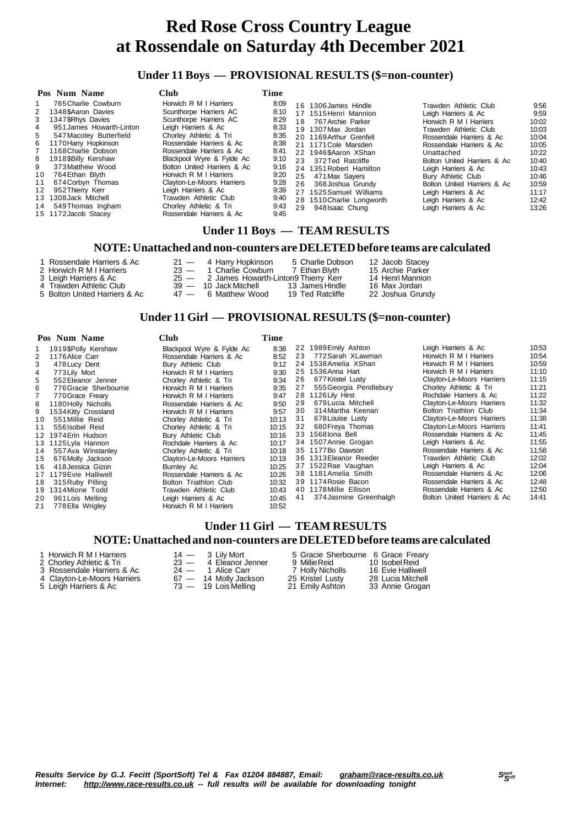### **Under 11 Boys — PROVISIONAL RESULTS (\$=non-counter)**

| Pos Num Name                                                                                                                                                                                                                                                                                                                                                                                              | Club                                                                                                                                                                                                                                                                                                                                                                                                         | Time                                                                                                                 |                                                                                                                                                                                                                                                                                                                                                                  |                                                                                                                                                                                                                                                                                                                                                       |                                                                                                                          |
|-----------------------------------------------------------------------------------------------------------------------------------------------------------------------------------------------------------------------------------------------------------------------------------------------------------------------------------------------------------------------------------------------------------|--------------------------------------------------------------------------------------------------------------------------------------------------------------------------------------------------------------------------------------------------------------------------------------------------------------------------------------------------------------------------------------------------------------|----------------------------------------------------------------------------------------------------------------------|------------------------------------------------------------------------------------------------------------------------------------------------------------------------------------------------------------------------------------------------------------------------------------------------------------------------------------------------------------------|-------------------------------------------------------------------------------------------------------------------------------------------------------------------------------------------------------------------------------------------------------------------------------------------------------------------------------------------------------|--------------------------------------------------------------------------------------------------------------------------|
| 765 Charlie Cowburn<br>1348\$Aaron Davies<br>2<br>1347 SRhvs Davies<br>3<br>951 James Howarth-Linton<br>4<br>5<br>547 Macoley Butterfield<br>1170 Harry Hopkinson<br>6<br>1168 Charlie Dobson<br>1918 SBilly Kershaw<br>8<br>373 Matthew Wood<br>9<br>764 Ethan Blyth<br>10<br>674 Corbyn Thomas<br>11<br>952 Thierry Kerr<br>12<br>13 1308 Jack Mitchell<br>14 549 Thomas Ingham<br>15 1172 Jacob Stacey | Horwich R M I Harriers<br>Scunthorpe Harriers AC<br>Scunthorpe Harriers AC<br>Leigh Harriers & Ac<br>Chorley Athletic & Tri<br>Rossendale Harriers & Ac<br>Rossendale Harriers & Ac<br>Blackpool Wyre & Fylde Ac<br>Bolton United Harriers & Ac<br>Horwich R M I Harriers<br>Clayton-Le-Moors Harriers<br>Leigh Harriers & Ac<br>Trawden Athletic Club<br>Chorley Athletic & Tri<br>Rossendale Harriers & Ac | 8:09<br>8:10<br>8:29<br>8:33<br>8:35<br>8:38<br>8:41<br>9:10<br>9:16<br>9:20<br>9:28<br>9:39<br>9:40<br>9:43<br>9:45 | 16 1306 James Hindle<br>17 1515 Henri Mannion<br>767 Archie Parker<br>18<br>19 1307 Max Jordan<br>20 1169 Arthur Grenfell<br>21 1171 Cole Marsden<br>22 1946 SAaron XShan<br>23 372 Ted Ratcliffe<br>24 1351 Robert Hamilton<br>25<br>471 Max Sayers<br>26<br>368 Joshua Grundy<br>27 1525 Samuel Williams<br>28 1510 Charlie Longworth<br>29<br>948 Isaac Chung | Trawden Athletic Club<br>Leigh Harriers & Ac<br>Horwich R M I Harriers<br>Trawden Athletic Club<br>Rossendale Harriers & Ac<br>Rossendale Harriers & Ac<br>Unattached<br>Bolton United Harriers & Ac<br>Leigh Harriers & Ac<br>Bury Athletic Club<br>Bolton United Harriers & Ac<br>Leigh Harriers & Ac<br>Leigh Harriers & Ac<br>Leigh Harriers & Ac | 9:56<br>9:59<br>10:02<br>10:03<br>10:04<br>10:05<br>10:22<br>10:40<br>10:43<br>10:46<br>10:59<br>11:17<br>12:42<br>13:26 |

### **Under 11 Boys — TEAM RESULTS**

#### **NOTE:Unattached and non-counters are DELETEDbefore teams are calculated**

- 
- 
- 5 Bolton United Harriers & Ac
- 1 Rossendale Harriers & Ac 21 4 Harry Hopkinson 5 Charlie Dobson 12 Jacob Stacey<br>
2 Horwich R M I Harriers 23 1 Charlie Cowburn 7 Ethan Blyth 15 Archie Parker<br>
3 Leigh Harriers & Ac 25 2 James Howarth-Linton9 Thierry 2 Horwich R M I Harriers 23 - 1 Charlie Cowburn 7 Ethan Blyth 15 Archie Parker<br>3 Leigh Harriers & Ac 25 - 2 James Howarth-Linton9 Thierry Kerr 14 Henri Mannion 25 - 2 James Howarth-Linton9 Thierry Kerr 14 Henri Mannionen 39 - 10 Jack Mitchell 13 James Hindle 16 Max Jordan 4 Trawden Athletic Club 39 - 10 Jack Mitchell 13 James Hindle 16 Max Jordan<br>5 Bolton United Harriers & Ac 47 - 6 Matthew Wood 19 Ted Ratcliffe 22 Joshua Grundy

### **Under 11 Girl — PROVISIONAL RESULTS (\$=non-counter)**

|    | Pos Num Name           | <b>Club</b>               | Time  |    |                        |                             |       |
|----|------------------------|---------------------------|-------|----|------------------------|-----------------------------|-------|
|    | 1919\$Polly Kershaw    | Blackpool Wyre & Fylde Ac | 8:38  |    | 22 1989 Emily Ashton   | Leigh Harriers & Ac         | 10:53 |
| 2  | 1176 Alice Carr        | Rossendale Harriers & Ac  | 8:52  | 23 | 772 Sarah XLawman      | Horwich R M I Harriers      | 10:54 |
| 3  | 478 Lucy Dent          | Bury Athletic Club        | 9:12  |    | 24 1538 Amelia XShan   | Horwich R M I Harriers      | 10:59 |
|    | 773 Lily Mort          | Horwich R M I Harriers    | 9:30  |    | 25 1536 Anna Hart      | Horwich R M I Harriers      | 11:10 |
| 5  | 552 Eleanor Jenner     | Chorley Athletic & Tri    | 9:34  | 26 | 677 Kristel Lusty      | Clayton-Le-Moors Harriers   | 11:15 |
| 6. | 776 Gracie Sherbourne  | Horwich R M I Harriers    | 9:35  | 27 | 555 Georgia Pendlebury | Chorley Athletic & Tri      | 11:21 |
|    | 770 Grace Freary       | Horwich R M I Harriers    | 9:47  |    | 28 1126 Lily Hirst     | Rochdale Harriers & Ac      | 11:22 |
| 8  | 1180 Holly Nicholls    | Rossendale Harriers & Ac  | 9:50  | 29 | 679 Lucia Mitchell     | Clayton-Le-Moors Harriers   | 11:32 |
| 9  | 1534 Kitty Crossland   | Horwich R M I Harriers    | 9:57  | 30 | 314 Martha Keenan      | Bolton Triathlon Club       | 11:34 |
| 10 | 551 Millie Reid        | Chorley Athletic & Tri    | 10:13 | 31 | 678 Louise Lusty       | Clayton-Le-Moors Harriers   | 11:38 |
| 11 | 556 Isobel Reid        | Chorley Athletic & Tri    | 10:15 | 32 | 680 Freya Thomas       | Clayton-Le-Moors Harriers   | 11:41 |
|    | 12 1974 Erin Hudson    | Bury Athletic Club        | 10:16 |    | 33 1568 lona Bell      | Rossendale Harriers & Ac    | 11:45 |
|    | 13 1125 Lyla Hannon    | Rochdale Harriers & Ac    | 10:17 |    | 34 1507 Annie Grogan   | Leigh Harriers & Ac         | 11:55 |
|    | 14 557 Ava Winstanley  | Chorley Athletic & Tri    | 10:18 |    | 35 1177Bo Dawson       | Rossendale Harriers & Ac    | 11:58 |
| 15 | 676 Molly Jackson      | Clayton-Le-Moors Harriers | 10:19 |    | 36 1313 Eleanor Reeder | Trawden Athletic Club       | 12:02 |
| 16 | 418 Jessica Gizon      | Burnley Ac                | 10:25 |    | 37 1522 Rae Vaughan    | Leigh Harriers & Ac         | 12:04 |
|    | 17 1179 Evie Halliwell | Rossendale Harriers & Ac  | 10:26 |    | 38 1181 Amelia Smith   | Rossendale Harriers & Ac    | 12:06 |
| 18 | 315 Ruby Pilling       | Bolton Triathlon Club     | 10:32 |    | 39 1174 Rosie Bacon    | Rossendale Harriers & Ac    | 12:48 |
|    | 19 1314 Mione Todd     | Trawden Athletic Club     | 10:43 |    | 40 1178 Millie Ellison | Rossendale Harriers & Ac    | 12:50 |
| 20 | 961 Lois Melling       | Leigh Harriers & Ac       | 10:45 | 41 | 374 Jasmine Greenhalgh | Bolton United Harriers & Ac | 14:41 |
| 21 | 778 Ella Wrigley       | Horwich R M I Harriers    | 10:52 |    |                        |                             |       |

### **Under 11 Girl — TEAM RESULTS NOTE:Unattached and non-counters are DELETEDbefore teams are calculated**

- 
- 
- 
- 5 Leigh Harriers & Ac
- 

1 Horwich R M I Harriers 14 - 3 Lily Mort 5 Gracie Sherbourne 6 Grace Freary<br>
2 Chorley Athletic & Tri 23 - 4 Eleanor Jenner 9 Millie Reid 10 Isobel Reid<br>
3 Rossendale Harriers & Ac 24 - 1 Alice Carr 7 Holly Nicholls 16 Ev 23 — 4 Eleanor Jenner 9 Millie Reid<br>
23 — 4 Eleanor Jenner 9 Millie Reid 10 Isobel Reid<br>
24 — 1 Alice Carr 7 Holly Nicholls 16 Evie Halliwell 3 Rossendale Harriers & Ac 24 - 1 Alice Carr 7 Holly Nicholls 16 Evie Halliwell<br>4 Clayton-Le-Moors Harriers 67 - 14 Molly Jackson 25 Kristel Lusty 28 Lucia Mitchell 4 Clayton-Le-Moors Harriers 67 — 14 Molly Jackson 25 Kristel Lusty 28 Lucia Mitchell

Results Service by G.J. Fecitt (SportSoft) Tel & Fax 01204 884887, Email: [graham@race-results.co.uk](mailto:graham@race-results.co.uk)<br>Internet: http://www.race-results.co.uk -- full results will be available for downloading topight *Internet: <http://www.race-results.co.uk> -- full results will be available for downloading tonight*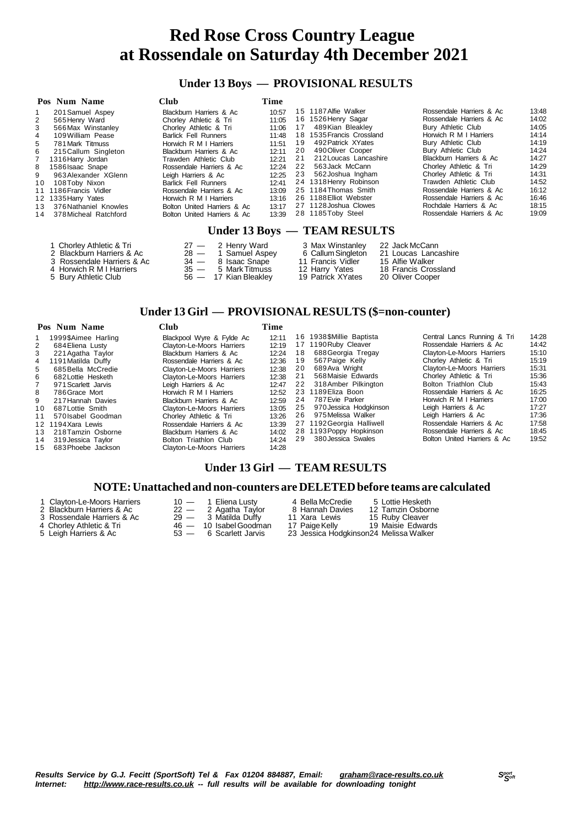### **Under 13 Boys — PROVISIONAL RESULTS**

|     | Pos Num Name          | Club.                       | Time  |    |                              |                          |       |
|-----|-----------------------|-----------------------------|-------|----|------------------------------|--------------------------|-------|
|     | 201 Samuel Aspey      | Blackburn Harriers & Ac     | 10:57 |    | 15 1187 Alfie Walker         | Rossendale Harriers & Ac | 13:48 |
| 2   | 565 Henry Ward        | Chorley Athletic & Tri      | 11:05 |    | 16 1526 Henry Sagar          | Rossendale Harriers & Ac | 14:02 |
| 3   | 566 Max Winstanley    | Chorley Athletic & Tri      | 11:06 | 17 | 489Kian Bleakley             | Bury Athletic Club       | 14:05 |
| 4   | 109 William Pease     | <b>Barlick Fell Runners</b> | 11:48 |    | 18 1535 Francis Crossland    | Horwich R M I Harriers   | 14:14 |
| 5   | 781 Mark Titmuss      | Horwich R M I Harriers      | 11:51 | 19 | 492 Patrick XYates           | Bury Athletic Club       | 14:19 |
| 6   | 215 Callum Singleton  | Blackburn Harriers & Ac     | 12:11 | 20 | 490 Oliver Cooper            | Bury Athletic Club       | 14:24 |
| 7   | 1316 Harry Jordan     | Trawden Athletic Club       | 12:21 | 21 | 212 Loucas Lancashire        | Blackburn Harriers & Ac  | 14:27 |
| 8   | 1586 Isaac Snape      | Rossendale Harriers & Ac    | 12:24 | 22 | 563 Jack McCann              | Chorley Athletic & Tri   | 14:29 |
| 9   | 963 Alexander XGlenn  | Leigh Harriers & Ac         | 12:25 | 23 | 562 Joshua Ingham            | Chorley Athletic & Tri   | 14:31 |
| 10  | 108 Toby Nixon        | <b>Barlick Fell Runners</b> | 12:41 |    | 24 1318 Henry Robinson       | Trawden Athletic Club    | 14:52 |
| 11  | 1186 Francis Vidler   | Rossendale Harriers & Ac    | 13:09 |    | 25 1184 Thomas Smith         | Rossendale Harriers & Ac | 16:12 |
|     | 12 1335 Harry Yates   | Horwich R M I Harriers      | 13:16 |    | 26 1188 Elliot Webster       | Rossendale Harriers & Ac | 16:46 |
| 1.3 | 376 Nathaniel Knowles | Bolton United Harriers & Ac | 13:17 |    | 27 1128 Joshua Clowes        | Rochdale Harriers & Ac   | 18:15 |
| 14  | 378 Micheal Ratchford | Bolton United Harriers & Ac | 13:39 |    | 28 1185Toby Steel            | Rossendale Harriers & Ac | 19:09 |
|     |                       |                             |       |    | Under 13 Boys — TEAM RESULTS |                          |       |

- 1 Chorley Athletic & Tri 27 2 Henry Ward 3 Max Winstanley 22 Jack McCann<br>2 Blackburn Harriers & Ac 28 1 Samuel Aspey 6 Callum Singleton 21 Loucas Lancashire
- 
- 
- 
- 
- 
- 
- 
- 
- 

- 
- 
- 

# 3 Rossendale Harriers & Ac 34 — 8 Isaac Snape 11 Francis Vidler 15 Alfie Walker 4 Horwich R M I Harriers 35 — 5 MarkTitmuss 12 Harry Yates 18 Francis Crossland

- 
- 2 Blackburn Harriers & Ac 28 1 Samuel Aspey 6 Callum Singleton 21 Loucas Land<br>
3 Rossendale Harriers & Ac 34 8 Isaac Snape 11 Francis Vidler 15 Alfie Walker<br>
4 Horwich R M I Harriers 35 5 Mark Titmuss 12 Harry Yates 5 Bury Athletic Club 56 — 17 Kian Bleakley 19 Patrick XYates 20 Oliver Cooper

### **Under 13 Girl — PROVISIONAL RESULTS (\$=non-counter)**

#### **Pos Num Name Club Time**

|    | 1999\$Aimee Harling | Blackpool Wyre & Fylde Ac        | 12:11 | 16  | 1938\$Millie Baptista     | Central Lancs Running & Tri      | 14:28 |
|----|---------------------|----------------------------------|-------|-----|---------------------------|----------------------------------|-------|
| 2  | 684 Eliena Lusty    | Clayton-Le-Moors Harriers        | 12:19 |     | 17 1190 Ruby Cleaver      | Rossendale Harriers & Ac         | 14:42 |
| 3  | 221 Agatha Taylor   | Blackburn Harriers & Ac          | 12:24 | 18  | 688 Georgia Tregay        | Clayton-Le-Moors Harriers        | 15:10 |
| 4  | 1191 Matilda Duffy  | Rossendale Harriers & Ac         | 12:36 | 19  | 567 Paige Kelly           | Chorley Athletic & Tri           | 15:19 |
| 5  | 685 Bella McCredie  | Clayton-Le-Moors Harriers        | 12:38 | -20 | 689 Ava Wright            | <b>Clayton-Le-Moors Harriers</b> | 15:31 |
| 6  | 682 Lottie Hesketh  | <b>Clayton-Le-Moors Harriers</b> | 12:38 | 21  | 568 Maisie Edwards        | Chorley Athletic & Tri           | 15:36 |
|    | 971 Scarlett Jarvis | Leigh Harriers & Ac              | 12:47 | 22  | 318 Amber Pilkington      | Bolton Triathlon Club            | 15:43 |
| 8  | 786 Grace Mort      | Horwich R M I Harriers           | 12:52 |     | 23 1189 Eliza Boon        | Rossendale Harriers & Ac         | 16:25 |
| 9  | 217 Hannah Davies   | Blackburn Harriers & Ac          | 12:59 | 24  | 787 Evie Parker           | Horwich R M I Harriers           | 17:00 |
| 10 | 687 Lottie Smith    | Clayton-Le-Moors Harriers        | 13:05 | 25  | 970 Jessica Hodgkinson    | Leigh Harriers & Ac              | 17:27 |
| 11 | 570 Isabel Goodman  | Chorley Athletic & Tri           | 13:26 | 26  | 975 Melissa Walker        | Leigh Harriers & Ac              | 17:36 |
|    | 12 1194 Xara Lewis  | Rossendale Harriers & Ac         | 13:39 |     | 27 1192 Georgia Halliwell | Rossendale Harriers & Ac         | 17:58 |
| 13 | 218 Tamzin Osborne  | Blackburn Harriers & Ac          | 14:02 |     | 28 1193 Poppy Hopkinson   | Rossendale Harriers & Ac         | 18:45 |
| 14 | 319 Jessica Tavlor  | Bolton Triathlon Club            | 14:24 | 29  | 380 Jessica Swales        | Bolton United Harriers & Ac      | 19:52 |
| 15 | 683 Phoebe Jackson  | Clayton-Le-Moors Harriers        | 14:28 |     |                           |                                  |       |
|    |                     |                                  |       |     |                           |                                  |       |

### **Under 13 Girl — TEAM RESULTS**

#### **NOTE:Unattached and non-counters are DELETEDbefore teams are calculated**

- 
- 
- 
- 
- 
- 
- 
- 4 Chorley Athletic & Tri 46 10 Isabel Goodman<br>5 Leigh Harriers & Ac 53 6 Scarlett Jarvis
	-
- 1 Clayton-Le-Moors Harriers 10 1 Eliena Lusty 14 Bella McCredie 15 Lottie Hesketh<br>2 Blackburn Harriers & Ac 22 2 Agatha Taylor 18 Hannah Davies 12 Tamzin Osborne 2 Blackburn Harriers & Ac 22 — 2 Agatha Taylor 8 Hannah Davies 12 Tamzin Osborne<br>3 Rossendale Harriers & Ac 29 — 3 Matilda Duffy 11 Xara Lewis 15 Ruby Cleaver<br>4 Chorley Athletic & Tri 46 — 10 Isabel Goodman 17 Paige Kelly 3 Rossendale Harriers & Ac 29 — 3 Matilda Duffy 11 Xara Lewis 15 Ruby Cleaver 23 Jessica Hodgkinson24 Melissa Walker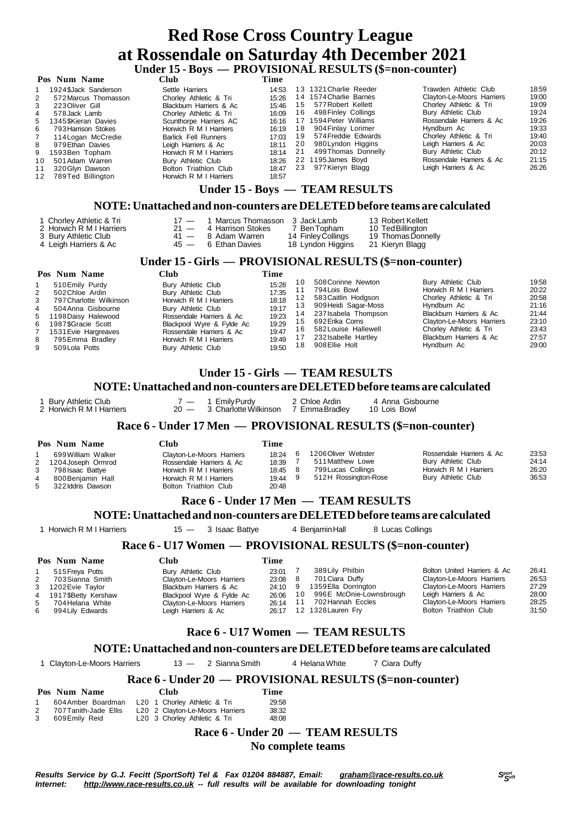## **Red Rose Cross Country League at Rossendale on Saturday 4th December 2021 Under 15 - Boys — PROVISIONAL RESULTS (\$=non-counter)**

|    | Pos Num Name          | Club                        | Time  |     |                                |                           |       |
|----|-----------------------|-----------------------------|-------|-----|--------------------------------|---------------------------|-------|
|    | 1924 \$Jack Sanderson | Settle Harriers             | 14:53 |     | 13 1321 Charlie Reeder         | Trawden Athletic Club     | 18:59 |
| 2  | 572 Marcus Thomasson  | Chorley Athletic & Tri      | 15:26 |     | 14 1574 Charlie Barnes         | Clayton-Le-Moors Harriers | 19:00 |
| 3  | 223 Oliver Gill       | Blackburn Harriers & Ac     | 15:46 | 15  | 577 Robert Kellett             | Chorley Athletic & Tri    | 19:09 |
| 4  | 578 Jack Lamb         | Chorley Athletic & Tri      | 16:09 | 16  | 498 Finley Collings            | Bury Athletic Club        | 19:24 |
| 5. | 1345 SKieran Davies   | Scunthorpe Harriers AC      | 16:16 | 17  | 1594 Peter Williams            | Rossendale Harriers & Ac  | 19:26 |
| 6  | 793 Harrison Stokes   | Horwich R M I Harriers      | 16:19 | 18  | 904 Finlay Lorimer             | Hyndburn Ac               | 19:33 |
|    | 114 Logan McCredie    | <b>Barlick Fell Runners</b> | 17:03 | 19  | 574 Freddie Edwards            | Chorley Athletic & Tri    | 19:40 |
| 8  | 979 Ethan Davies      | Leigh Harriers & Ac         | 18:11 | -20 | 980 Lyndon Higgins             | Leigh Harriers & Ac       | 20:03 |
| 9  | 1593Ben Topham        | Horwich R M I Harriers      | 18:14 | 21  | 499Thomas Donnelly             | Bury Athletic Club        | 20:12 |
| 10 | 501 Adam Warren       | Bury Athletic Club          | 18:26 |     | 22 1195 James Boyd             | Rossendale Harriers & Ac  | 21:15 |
| 11 | 320 Glyn Dawson       | Bolton Triathlon Club       | 18:47 | 23  | 977 Kieryn Blagg               | Leigh Harriers & Ac       | 26:26 |
| 12 | 789Ted Billington     | Horwich R M I Harriers      | 18:57 |     |                                |                           |       |
|    |                       |                             |       |     | Under 15 - Boys — TEAM RESULTS |                           |       |

### **NOTE:Unattached and non-counters are DELETEDbefore teams are calculated**

| 1 Chorley Athletic & Tri |    |
|--------------------------|----|
| 2 Horwich R M I Harriere | 21 |

- 
- 4 Leigh Harriers & Ac
- 1 Marcus Thomasson 3 Jack Lamb 13 Robert Kellett<br>4 Harrison Stokes 7 Ben Topham 10 Ted Billington 2 Horwich R M I Harriers 21 - 4 Harrison Stokes 7 Ben Topham<br>3 Bury Athletic Club 21 - 8 Adam Warren 214 Finley Collings<br>4 Teigh Harriers & Ac 25 - 6 Ethan Davies 218 Lyndon Higgin
	- -
- 
- 41 8 Adam Warren 14 Finley Collings 19 Thomas Donnelly<br>45 6 Ethan Davies 18 Lyndon Higgins 21 Kieryn Blagg
	-

### **Under 15 - Girls — PROVISIONAL RESULTS (\$=non-counter)**

#### **Pos Num Name Club Time**

- 1 510 Emily Purdy Bury Athletic Club 15:28<br>2 502 Chloe Ardin Bury Athletic Club 17:35 2 502Chloe Ardin Bury Athletic Club 17:35 3 797 Charlotte Wilkinson Horwich R M I Harriers 18:18<br>3 504 Anna Gisbourne Bury Athletic Club 19:17 4 504 Anna Gisbourne Bury Athletic Club 19:17<br>5 1198 Daisy Halewood Rossendale Harriers & Ac 19:23 Rossendale Harriers & Ac 6 1987\$Gracie Scott Blackpool Wyre & Fylde Ac 19:29 7 1531 Evie Hargreaves Rossendale Harriers & Ac 19:47<br>8 795 Emma Bradlev Horwich R M I Harriers 19:49 8 795Emma Bradley Horwich R M I Harriers 19:49 Bury Athletic Club
- 908 Ellie Holt
	- 10 508Corinne Newton Bury Athletic Club 19:58<br>11 794Lois Bowl Horwich R M I Harriers 20:22 11 794 Lois Bowl **Horwich R M I Harriers** 20:22<br>12 583 Caitlin Hodgson **Chorley Athletic & Tri** 20:58 1 2 583Caitlin Hodgson Chorley Athletic & Tri 20:58 1 3 909 Heidi Sagar-Moss Hyndburn Ac 21:16<br>14 237 Isabela Thompson Blackburn Harriers & Ac 21:44 1 4 237Isabela Thompson Blackburn Harriers & Ac 21:44 1 5 692Erika Corns Clayton-Le-Moors Harriers 23:10 16 582 Louise Hallewell Chorley Athletic & Tri<br>16 582 Louise Hallewell Chorley Athletic & Tri<br>17 232 Isabelle Hartley Blackburn Harriers & Ac 27:57 17 232Isabelle Hartley Blackburn Harriers & Ac 27:57<br>18 908Ellie Holt Hondburn Ac 29:00

### **Under 15 - Girls — TEAM RESULTS**

### **NOTE:Unattached and non-counters are DELETEDbefore teams are calculated**

1 Bury Athletic Club 7 — 1 Emily Purdy 2 Chloe Ardin 4 Anna Gisbourne<br>2 Horwich R M I Harriers 20 — 3 Charlotte Wilkinson 7 Emma Bradley 10 Lois Bowl 2 Horwich R M I Harriers

### **Race 6 - Under 17 Men — PROVISIONAL RESULTS (\$=non-counter)**

|                          | Pos Num Name                                                                                             | ≅lub                                                                                                                               | Time                                        |                                                                                       |                                                                                                |                                  |
|--------------------------|----------------------------------------------------------------------------------------------------------|------------------------------------------------------------------------------------------------------------------------------------|---------------------------------------------|---------------------------------------------------------------------------------------|------------------------------------------------------------------------------------------------|----------------------------------|
| 3<br>$\overline{4}$<br>5 | 699 William Walker<br>2 1204 Joseph Ormrod<br>798 Isaac Battye<br>800 Benjamin Hall<br>322 Iddris Dawson | Clayton-Le-Moors Harriers<br>Rossendale Harriers & Ac<br>Horwich R M I Harriers<br>Horwich R M I Harriers<br>Bolton Triathlon Club | 18:24<br>18:39<br>18:45 8<br>19:44<br>20:48 | 1206 Oliver Webster<br>511 Matthew Lowe<br>799 Lucas Collings<br>512H Rossington-Rose | Rossendale Harriers & Ac<br>Bury Athletic Club<br>Horwich R M I Harriers<br>Bury Athletic Club | 23:53<br>24:14<br>26:20<br>36:53 |

### **Race 6 - Under 17 Men — TEAM RESULTS**

**NOTE:Unattached and non-counters are DELETEDbefore teams are calculated**

1 Horwich R M I Harriers 15 — 3 Isaac Battye 4 Benjamin Hall 8 Lucas Collings

### **Race 6 - U17 Women — PROVISIONAL RESULTS (\$=non-counter)**

|             | Pos Num Name          | Club-                     | Time    |     |                         |                             |       |
|-------------|-----------------------|---------------------------|---------|-----|-------------------------|-----------------------------|-------|
|             | 515 Freya Potts       | Bury Athletic Club        | 23:01   |     | 389 Lily Philbin        | Bolton United Harriers & Ac | 26:41 |
| $2^{\circ}$ | 703 Sianna Smith      | Clayton-Le-Moors Harriers | 23:08 8 |     | 701 Ciara Duffy         | Clayton-Le-Moors Harriers   | 26:53 |
|             | 3 1202 Evie Taylor    | Blackburn Harriers & Ac   | 24:10   | - 9 | 1359 Ella Dorrington    | Clayton-Le-Moors Harriers   | 27:29 |
|             | 4 1917 SBetty Kershaw | Blackpool Wyre & Fylde Ac | 26:06   | 10  | 996E McOnie-Lownsbrough | Leigh Harriers & Ac         | 28:00 |
| 5           | 704 Helana White      | Clayton-Le-Moors Harriers | 26:14   | 11  | 702 Hannah Eccles       | Clayton-Le-Moors Harriers   | 28:25 |
| 6           | 994 Lily Edwards      | Leigh Harriers & Ac       | 26:17   |     | 12 1328 Lauren Fry      | Bolton Triathlon Club       | 31:50 |

### **Race 6 - U17 Women — TEAM RESULTS**

### **NOTE:Unattached and non-counters are DELETEDbefore teams are calculated**

1 Clayton-Le-Moors Harriers 13 — 2 SiannaSmith 4 HelanaWhite 7 Ciara Duffy

### **Race 6 - Under 20 — PROVISIONAL RESULTS (\$=non-counter)**

|             | Pos Num Name          | <b>Club</b>                              | Time  |
|-------------|-----------------------|------------------------------------------|-------|
| $\mathbf 1$ | 604 Amber Boardman    | L <sub>20</sub> 1 Chorley Athletic & Tri | 29.58 |
|             | 707 Tanith-Jade Ellis | L20 2 Clayton-Le-Moors Harriers          | 38:32 |
| 3           | 609Emily Reid         | L20 3 Chorley Athletic & Tri             | 48:08 |

# **Race 6 - Under 20 — TEAM RESULTS**

 **No complete teams**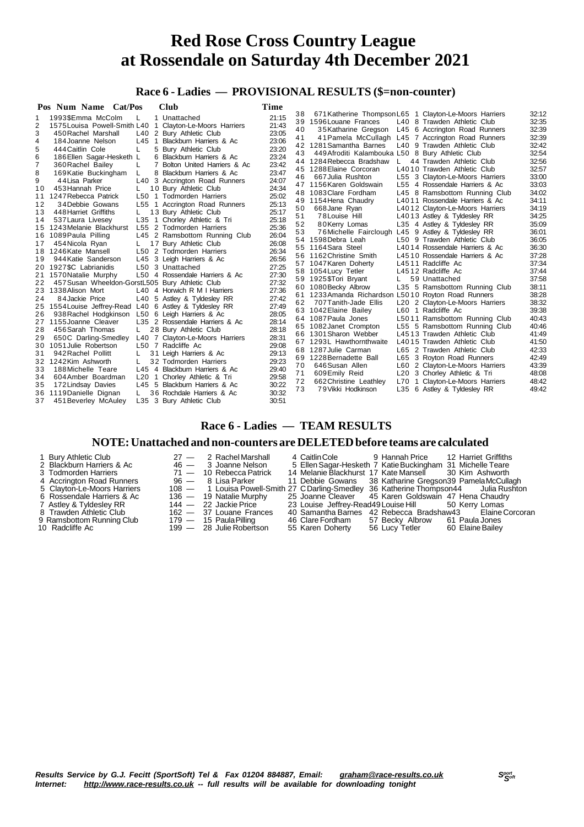### **Race 6 - Ladies — PROVISIONAL RESULTS (\$=non-counter)**

| Pos Num Name Cat/Pos<br><b>Club</b>                           | Time  |    |                                                     |              |                                                        |       |
|---------------------------------------------------------------|-------|----|-----------------------------------------------------|--------------|--------------------------------------------------------|-------|
| 1993\$Emma McColm<br>1 Unattached<br>L                        | 21:15 | 38 |                                                     |              | 671 Katherine Thompson L65 1 Clayton-Le-Moors Harriers | 32:12 |
| 2<br>1575 Louisa Powell-Smith L40 1 Clayton-Le-Moors Harriers | 21:43 |    | 39 1596 Louane Frances                              |              | L40 8 Trawden Athletic Club                            | 32:35 |
| 3<br>L40<br>2 Bury Athletic Club<br>450 Rachel Marshall       | 23:05 | 40 | 35Katharine Gregson                                 |              | L45 6 Accrington Road Runners                          | 32:39 |
| L45<br>1 Blackburn Harriers & Ac<br>4<br>184 Joanne Nelson    | 23:06 | 41 |                                                     |              | 41 Pamela McCullagh L45 7 Accrington Road Runners      | 32:39 |
| 5 Bury Athletic Club<br>L<br>5<br>444 Caitlin Cole            | 23:20 |    | 42 1281 Samantha Barnes                             |              | L40 9 Trawden Athletic Club                            | 32:42 |
| 6 Blackburn Harriers & Ac                                     | 23:24 | 43 | 449 Afroditi Kalambouka L50 8 Bury Athletic Club    |              |                                                        | 32:54 |
| 186 Ellen Sagar-Hesketh L<br>6<br>7                           | 23:42 | 44 | 1284 Rebecca Bradshaw                               | $\mathsf{L}$ | 44 Trawden Athletic Club                               | 32:56 |
| 7 Bolton United Harriers & Ac<br>360 Rachel Bailey            | 23:47 |    | 45 1288 Elaine Corcoran                             |              | L4010 Trawden Athletic Club                            | 32:57 |
| 8 Blackburn Harriers & Ac<br>8<br>169 Katie Buckingham<br>L   |       | 46 | 667 Julia Rushton                                   |              | L55 3 Clayton-Le-Moors Harriers                        | 33:00 |
| 44 Lisa Parker<br>L40 3 Accrington Road Runners<br>9          | 24:07 |    | 47 1156 Karen Goldswain                             |              | L55 4 Rossendale Harriers & Ac                         | 33:03 |
| 10<br>453 Hannah Price<br>10 Bury Athletic Club               | 24:34 |    | 48 1083 Clare Fordham                               |              | L45 8 Ramsbottom Running Club                          | 34:02 |
| 1247 Rebecca Patrick<br>L50 1 Todmorden Harriers<br>11        | 25:02 | 49 | 1154 Hena Chaudry                                   |              | L4011 Rossendale Harriers & Ac                         | 34:11 |
| 12<br>34 Debbie Gowans<br>L55 1 Accrington Road Runners       | 25:13 | 50 | 668 Jane Ryan                                       |              | L4012 Clayton-Le-Moors Harriers                        | 34:19 |
| 13<br>448 Harriet Griffiths<br>13 Bury Athletic Club          | 25:17 | 51 | 78 Louise Hill                                      |              | L4013 Astley & Tyldesley RR                            | 34:25 |
| L35 1 Chorley Athletic & Tri<br>14<br>537 Laura Livesey       | 25:18 | 52 | 80Kerry Lomas                                       |              | L35 4 Astley & Tyldesley RR                            | 35:09 |
| 1243 Melanie Blackhurst<br>L55 2 Todmorden Harriers<br>15     | 25:36 | 53 | 76 Michelle Fairclough                              |              | L45 9 Astley & Tyldesley RR                            | 36:01 |
| 1089 Paula Pilling<br>L45 2 Ramsbottom Running Club<br>16     | 26:04 |    | 54 1598 Debra Leah                                  |              | L50 9 Trawden Athletic Club                            | 36:05 |
| 454 Nicola Ryan<br>17 Bury Athletic Club<br>17                | 26:08 | 55 | 1164 Sara Steel                                     |              | L4014 Rossendale Harriers & Ac                         | 36:30 |
| 1246Kate Mansell<br>L50 2 Todmorden Harriers<br>18            | 26:34 | 56 | 1162 Christine Smith                                |              | L4510 Rossendale Harriers & Ac                         | 37:28 |
| L45 3 Leigh Harriers & Ac<br>19<br>944 Katie Sanderson        | 26:56 |    | 57 1047 Karen Doherty                               |              | L4511 Radcliffe Ac                                     | 37:34 |
| 1927\$C Labrianidis<br>L50 3 Unattached<br>20                 | 27:25 |    | 58 1054 Lucy Tetler                                 |              | L4512 Radcliffe Ac                                     | 37:44 |
| L50 4 Rossendale Harriers & Ac<br>1570 Natalie Murphy<br>21   | 27:30 |    | 59 1925\$Tori Bryant                                |              | 59 Unattached                                          | 37:58 |
| 457 Susan Wheeldon-GorstL505 Bury Athletic Club<br>22         | 27:32 |    | 60 1080 Becky Albrow                                |              | L35 5 Ramsbottom Running Club                          | 38:11 |
| 1338 Alison Mort<br>23<br>L40 4 Horwich R M I Harriers        | 27:36 |    | 61 1233 Amanda Richardson L5010 Royton Road Runners |              |                                                        | 38:28 |
| 24<br>84 Jackie Price<br>L40 5 Astley & Tyldesley RR          | 27:42 | 62 | 707 Tanith-Jade Ellis                               |              | L20 2 Clayton-Le-Moors Harriers                        | 38:32 |
| 1554 Louise Jeffrey-Read L40 6 Astley & Tyldesley RR<br>25    | 27:49 |    | 63 1042 Elaine Bailey                               |              | L60 1 Radcliffe Ac                                     | 39:38 |
| 938 Rachel Hodgkinson<br>L50 6 Leigh Harriers & Ac<br>26      | 28:05 |    | 64 1087 Paula Jones                                 |              | L5011 Ramsbottom Running Club                          | 40:43 |
| 1155 Joanne Cleaver<br>L35 2 Rossendale Harriers & Ac<br>27   | 28:14 |    | 65 1082 Janet Crompton                              |              | L55 5 Ramsbottom Running Club                          | 40:46 |
| 28<br>456 Sarah Thomas<br>28 Bury Athletic Club               | 28:18 | 66 | 1301 Sharon Webber                                  |              | L4513 Trawden Athletic Club                            | 41:49 |
| 650C Darling-Smedley<br>L40 7 Clayton-Le-Moors Harriers<br>29 | 28:31 |    | 67 1293L Hawthornthwaite                            |              | L4015 Trawden Athletic Club                            | 41:50 |
| 1051 Julie Robertson<br>L50 7 Radcliffe Ac<br>30              | 29:08 | 68 | 1287 Julie Carman                                   |              | L65 2 Trawden Athletic Club                            | 42:33 |
| 942 Rachel Pollitt<br>31 Leigh Harriers & Ac<br>31            | 29:13 |    | 69 1228 Bernadette Ball                             |              | L65 3 Royton Road Runners                              | 42:49 |
| 32 Todmorden Harriers<br>32<br>1242Kim Ashworth               | 29:23 | 70 | 646 Susan Allen                                     |              | L60 2 Clayton-Le-Moors Harriers                        | 43:39 |
| 33<br>L45 4 Blackburn Harriers & Ac<br>188 Michelle Teare     | 29:40 | 71 | 609Emily Reid                                       |              | L20 3 Chorley Athletic & Tri                           | 48:08 |
| 34<br>604 Amber Boardman<br>L20 1 Chorley Athletic & Tri      | 29:58 | 72 | 662 Christine Leathley                              |              | L70 1 Clayton-Le-Moors Harriers                        | 48:42 |
| L45 5 Blackburn Harriers & Ac<br>35<br>172 Lindsay Davies     | 30:22 | 73 | 79 Vikki Hodkinson                                  |              | L35 6 Astley & Tyldesley RR                            | 49:42 |
| 1119 Danielle Dignan<br>36 Rochdale Harriers & Ac<br>36       | 30:32 |    |                                                     |              |                                                        |       |
| L35 3 Bury Athletic Club<br>37<br>451 Beverley McAuley        | 30:51 |    |                                                     |              |                                                        |       |

### **Race 6 - Ladies — TEAM RESULTS**

#### **NOTE:Unattached and non-counters are DELETEDbefore teams are calculated**

| 1 Bury Athletic Club        | $27 - 2$ Rachel Marshall  |                  | 4 Caitlin Cole 9 Hannah Price 12 Harriet Griffiths                                     |  |
|-----------------------------|---------------------------|------------------|----------------------------------------------------------------------------------------|--|
| 2 Blackburn Harriers & Ac   | 46 — 3 Joanne Nelson      |                  | 5 Ellen Sagar-Hesketh 7 Katie Buckingham 31 Michelle Teare                             |  |
| 3 Todmorden Harriers        | 71 - 10 Rebecca Patrick   |                  | 14 Melanie Blackhurst 17 Kate Mansell 30 Kim Ashworth                                  |  |
| 4 Accrington Road Runners   | 96 — 8 Lisa Parker        |                  | 11 Debbie Gowans 38 Katharine Gregson 39 Pamela McCullagh                              |  |
| 5 Clayton-Le-Moors Harriers |                           |                  | 108 - 1 Louisa Powell-Smith 27 C Darling-Smedley 36 Katherine Thompson44 Julia Rushton |  |
| 6 Rossendale Harriers & Ac  | $136 - 19$ Natalie Murphy |                  | 25 Joanne Cleaver 45 Karen Goldswain 47 Hena Chaudry                                   |  |
| 7 Astley & Tyldesley RR     | 144 — 22 Jackie Price     |                  | 23 Louise Jeffrey-Read49 Louise Hill 50 Kerry Lomas                                    |  |
| 8 Trawden Athletic Club     | $162 - 37$ Louane Frances |                  | 40 Samantha Barnes 42 Rebecca Bradshaw43 Elaine Corcoran                               |  |
| 9 Ramsbottom Running Club   | 179 — 15 Paula Pilling    |                  | 46 Clare Fordham 57 Becky Albrow 61 Paula Jones                                        |  |
| 10 Radcliffe Ac             | 199 — 28 Julie Robertson  | 55 Karen Doherty | 56 Lucy Tetler 60 Elaine Bailey                                                        |  |

- 
- -

Results Service by G.J. Fecitt (SportSoft) Tel & Fax 01204 884887, Email: [graham@race-results.co.uk](mailto:graham@race-results.co.uk)<br>Internet: http://www.race-results.co.uk -- full results will be available for downloading tonight *Internet: <http://www.race-results.co.uk> -- full results will be available for downloading tonight*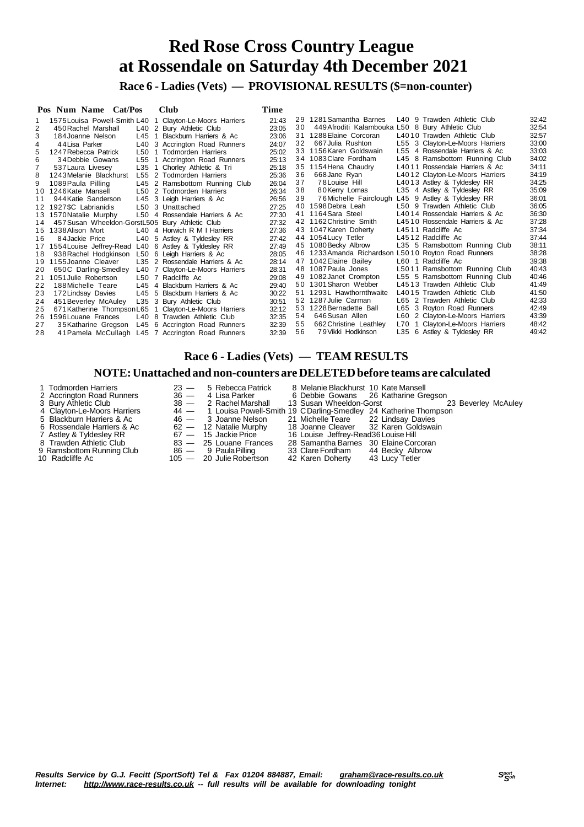**Race 6 - Ladies (Vets) — PROVISIONAL RESULTS (\$=non-counter)**

|    | Pos Num Name Cat/Pos                                 |                     | <b>Club</b>                                              | Time  |    |                                                     |                                 |       |
|----|------------------------------------------------------|---------------------|----------------------------------------------------------|-------|----|-----------------------------------------------------|---------------------------------|-------|
|    |                                                      |                     | 1575 Louisa Powell-Smith L40 1 Clayton-Le-Moors Harriers | 21:43 |    | 29 1281 Samantha Barnes                             | L40 9 Trawden Athletic Club     | 32:42 |
|    | 450 Rachel Marshall                                  |                     | L40 2 Bury Athletic Club                                 | 23:05 | 30 | 449 Afroditi Kalambouka L50 8 Bury Athletic Club    |                                 | 32:54 |
|    | 184 Joanne Nelson                                    |                     | L45 1 Blackburn Harriers & Ac                            | 23:06 | 31 | 1288 Elaine Corcoran                                | L4010 Trawden Athletic Club     | 32:57 |
|    | 44 Lisa Parker                                       |                     | L40 3 Accrington Road Runners                            | 24:07 | 32 | 667 Julia Rushton                                   | L55 3 Clayton-Le-Moors Harriers | 33:00 |
|    | 1247 Rebecca Patrick                                 |                     | L50 1 Todmorden Harriers                                 | 25:02 | 33 | 1156 Karen Goldswain                                | L55 4 Rossendale Harriers & Ac  | 33:03 |
| 6  | 34 Debbie Gowans                                     |                     | L55 1 Accrington Road Runners                            | 25:13 |    | 34 1083 Clare Fordham                               | L45 8 Ramsbottom Running Club   | 34:02 |
|    | 537 Laura Livesey                                    | L35<br>$\mathbf{1}$ | Chorley Athletic & Tri                                   | 25:18 |    | 35 1154 Hena Chaudry                                | L4011 Rossendale Harriers & Ac  | 34:11 |
|    | 1243 Melanie Blackhurst                              |                     | L55 2 Todmorden Harriers                                 | 25:36 | 36 | 668 Jane Ryan                                       | L4012 Clayton-Le-Moors Harriers | 34:19 |
| 9  | 1089 Paula Pilling                                   |                     | L45 2 Ramsbottom Running Club                            | 26:04 | 37 | 78 Louise Hill                                      | L4013 Astley & Tyldesley RR     | 34:25 |
|    | 10 1246 Kate Mansell                                 |                     | L50 2 Todmorden Harriers                                 | 26:34 | 38 | 80Kerry Lomas                                       | L35 4 Astley & Tyldesley RR     | 35:09 |
| 11 | 944 Katie Sanderson                                  |                     | L45 3 Leigh Harriers & Ac                                | 26:56 | 39 | 76 Michelle Fairclough L45 9 Astley & Tyldesley RR  |                                 | 36:01 |
| 12 | 1927\$C Labrianidis                                  |                     | L50 3 Unattached                                         | 27:25 |    | 40 1598 Debra Leah                                  | L50 9 Trawden Athletic Club     | 36:05 |
| 13 | 1570 Natalie Murphy                                  |                     | L50 4 Rossendale Harriers & Ac                           | 27:30 |    | 41 1164 Sara Steel                                  | L4014 Rossendale Harriers & Ac  | 36:30 |
| 14 | 457 Susan Wheeldon-GorstL505 Bury Athletic Club      |                     |                                                          | 27:32 |    | 42 1162 Christine Smith                             | L4510 Rossendale Harriers & Ac  | 37:28 |
| 15 | 1338 Alison Mort                                     |                     | L40 4 Horwich R M I Harriers                             | 27:36 |    | 43 1047 Karen Doherty                               | L4511 Radcliffe Ac              | 37:34 |
| 16 | 84 Jackie Price                                      |                     | L40 5 Astley & Tyldesley RR                              | 27:42 |    | 44 1054 Lucy Tetler                                 | L4512 Radcliffe Ac              | 37:44 |
| 17 | 1554 Louise Jeffrey-Read L40 6 Astley & Tyldesley RR |                     |                                                          | 27:49 |    | 45 1080 Becky Albrow                                | L35 5 Ramsbottom Running Club   | 38:11 |
| 18 | 938 Rachel Hodgkinson L50 6 Leigh Harriers & Ac      |                     |                                                          | 28:05 |    | 46 1233 Amanda Richardson L5010 Royton Road Runners |                                 | 38:28 |
| 19 | 1155 Joanne Cleaver                                  |                     | L35 2 Rossendale Harriers & Ac                           | 28:14 |    | 47 1042 Elaine Bailey                               | L60 1 Radcliffe Ac              | 39:38 |
| 20 |                                                      |                     | 650C Darling-Smedley L40 7 Clayton-Le-Moors Harriers     | 28:31 |    | 48 1087 Paula Jones                                 | L5011 Ramsbottom Running Club   | 40:43 |
| 21 | 1051 Julie Robertson                                 |                     | L50 7 Radcliffe Ac                                       | 29:08 |    | 49 1082 Janet Crompton                              | L55 5 Ramsbottom Running Club   | 40:46 |
| 22 | 188 Michelle Teare                                   | L45                 | 4 Blackburn Harriers & Ac                                | 29:40 |    | 50 1301 Sharon Webber                               | L4513 Trawden Athletic Club     | 41:49 |
| 23 | 172 Lindsay Davies                                   |                     | L45 5 Blackburn Harriers & Ac                            | 30:22 | 51 | 1293L Hawthornthwaite                               | L4015 Trawden Athletic Club     | 41:50 |
| 24 | 451 Beverley McAuley                                 |                     | L35 3 Bury Athletic Club                                 | 30:51 |    | 52 1287 Julie Carman                                | L65 2 Trawden Athletic Club     | 42:33 |
| 25 |                                                      |                     | 671 Katherine Thompson L65 1 Clayton-Le-Moors Harriers   | 32:12 |    | 53 1228 Bernadette Ball                             | L65 3 Royton Road Runners       | 42:49 |
| 26 | 1596 Louane Frances                                  |                     | L40 8 Trawden Athletic Club                              | 32:35 | 54 | 646 Susan Allen                                     | L60 2 Clayton-Le-Moors Harriers | 43:39 |
| 27 |                                                      |                     | 35 Katharine Gregson L45 6 Accrington Road Runners       | 32:39 | 55 | 662 Christine Leathley                              | L70 1 Clayton-Le-Moors Harriers | 48:42 |
| 28 |                                                      |                     | 41 Pamela McCullagh L45 7 Accrington Road Runners        | 32:39 | 56 | 79 Vikki Hodkinson                                  | L35 6 Astley & Tyldesley RR     | 49:42 |

### **Race 6 - Ladies (Vets) — TEAM RESULTS**

#### **NOTE:Unattached and non-counters are DELETEDbefore teams are calculated**

- 
- 
- 
- 
- 
- 
- 
- 
- 3 Bury Athletic Club 38 2 Rachel Marshall 13 Susan Wheeldon-Gorst 23 Beverley McAuley 4 Clayton-Le-Moors Harriers 44 1 Louisa Powell-Smith 19 CDarling-Smedley 24 Katherine Thompson
	-
	-
	-
	-
	-

1 Todmorden Harriers 23 — 5 Rebecca Patrick 8 Melanie Blackhurst 10 Kate Mansell

- 2 Accrington Road Runners 36 4 Lisa Parker 6 Debbie Gowans 26 Katharine Gregson
	-
- 8 Duly Athletic Club 83 2 Nachiel Marial State Club 83 25 Louisa Powell-Smith 19 CDarling-Smedley 24 Katherine Thom<br>
8 Blackburn Harriers & Ac 62 12 Natalie Murphy 18 Joanne Cleaver 32 Karen Goldswai<br>
7 Astley & Tyld
- 5 Blackburn Harriers & Ac 46 3 Joanne Nelson 21 Michelle Teare 22 Lindsay Davies
- 6 Rossendale Harriers & Ac 62 12 Natalie Murphy 18 Joanne Cleaver 32 Karen Goldswain 7 Astley & Tyldesley RR 67 15 Jackie Price 16 Louise Jeffrey-Read36Louise Hill
	-
	-
- 9 Ramsbottom Running Club and B6 9 Paula Pilling and 33 Clare Fordham a 44 Becky Albrow<br>10 Radcliffe Ac and the studie 105 20 Julie Robertson a 42 Karen Doherty a 43 Lucy Tetler
	-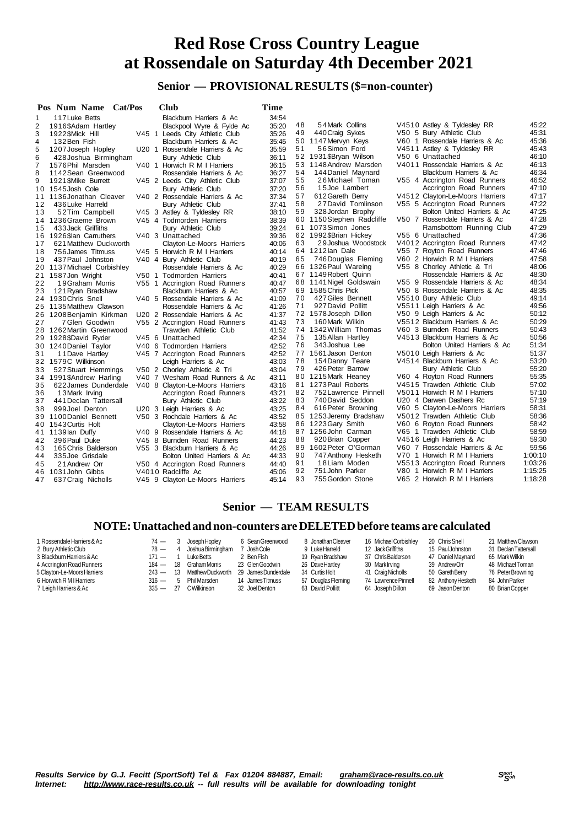### **Senior — PROVISIONAL RESULTS (\$=non-counter)**

|    | Pos Num Name Cat/Pos       |  | Club                            | Time  |    |                           |                                 |         |
|----|----------------------------|--|---------------------------------|-------|----|---------------------------|---------------------------------|---------|
| 1  | 117 Luke Betts             |  | Blackburn Harriers & Ac         | 34:54 |    |                           |                                 |         |
| 2  | 1916\$Adam Hartley         |  | Blackpool Wyre & Fylde Ac       | 35:20 | 48 | 54 Mark Collins           | V4510 Astley & Tyldesley RR     | 45:22   |
| 3  | 1922\$Mick Hill            |  | V45 1 Leeds City Athletic Club  | 35:26 | 49 | 440 Craig Sykes           | V50 5 Bury Athletic Club        | 45:31   |
| 4  | 132 Ben Fish               |  | Blackburn Harriers & Ac         | 35:45 |    | 50 1147 Mervyn Keys       | V60 1 Rossendale Harriers & Ac  | 45:36   |
| 5  | 1207 Joseph Hopley         |  | U20 1 Rossendale Harriers & Ac  | 35.59 | 51 | 56Simon Ford              | V4511 Astley & Tyldesley RR     | 45:43   |
| 6  | 428 Joshua Birmingham      |  | <b>Bury Athletic Club</b>       | 36:11 |    | 52 1931 SBryan Wilson     | V50 6 Unattached                | 46:10   |
| 7  | 1576 Phil Marsden          |  | V40 1 Horwich R M I Harriers    | 36:15 |    | 53 1148 Andrew Marsden    | V4011 Rossendale Harriers & Ac  | 46:13   |
| 8  | 1142 Sean Greenwood        |  | Rossendale Harriers & Ac        | 36:27 | 54 | 144 Daniel Maynard        | Blackburn Harriers & Ac         | 46:34   |
| 9  | 1921 SMike Burrett         |  | V45 2 Leeds City Athletic Club  | 37:07 | 55 | 26Michael Toman           | V55 4 Accrington Road Runners   | 46:52   |
| 10 | 1545 Josh Cole             |  | Bury Athletic Club              | 37:20 | 56 | 15 Joe Lambert            | Accrington Road Runners         | 47:10   |
| 11 | 1136 Jonathan Cleaver      |  | V40 2 Rossendale Harriers & Ac  | 37:34 | 57 | 612 Gareth Berry          | V4512 Clayton-Le-Moors Harriers | 47:17   |
| 12 | 436 Luke Harreld           |  | Bury Athletic Club              | 37:41 | 58 | 27David Tomlinson         | V55 5 Accrington Road Runners   | 47:22   |
| 13 | 52Tim Campbell             |  | V45 3 Astley & Tyldesley RR     | 38:10 | 59 | 328 Jordan Brophy         | Bolton United Harriers & Ac     | 47:25   |
|    | 14 1236 Graeme Brown       |  | V45 4 Todmorden Harriers        | 38:39 |    | 60 1150 Stephen Radcliffe | V50 7 Rossendale Harriers & Ac  | 47:28   |
| 15 | 433 Jack Griffiths         |  | Bury Athletic Club              | 39:24 |    | 61 1073 Simon Jones       | Ramsbottom Running Club         | 47:29   |
|    | 16 1926 Slan Carruthers    |  | V40 3 Unattached                | 39:36 |    | 62 1992\$Brian Hickey     | V55 6 Unattached                | 47:36   |
| 17 | 621 Matthew Duckworth      |  | Clayton-Le-Moors Harriers       | 40:06 | 63 | 29 Joshua Woodstock       | V4012 Accrington Road Runners   | 47:42   |
| 18 | 756 James Titmuss          |  | V45 5 Horwich R M I Harriers    | 40:14 |    | 64 1212 lan Dale          | V55 7 Royton Road Runners       | 47:46   |
| 19 | 437 Paul Johnston          |  | V40 4 Bury Athletic Club        | 40:19 | 65 | 746 Douglas Fleming       | V60 2 Horwich R M I Harriers    | 47:58   |
|    | 20 1137 Michael Corbishley |  | Rossendale Harriers & Ac        | 40:29 |    | 66 1326 Paul Wareing      | V55 8 Chorley Athletic & Tri    | 48:06   |
| 21 | 1587 Jon Wright            |  | V50 1 Todmorden Harriers        | 40:41 |    | 67 1149 Robert Quinn      | Rossendale Harriers & Ac        | 48:30   |
| 22 | 19 Graham Morris           |  | V55 1 Accrington Road Runners   | 40:47 |    | 68 1141 Nigel Goldswain   | V55 9 Rossendale Harriers & Ac  | 48:34   |
| 23 | 121 Ryan Bradshaw          |  | Blackburn Harriers & Ac         | 40:57 |    | 69 1585 Chris Pick        | V50 8 Rossendale Harriers & Ac  | 48:35   |
|    | 24 1930 Chris Snell        |  | V40 5 Rossendale Harriers & Ac  | 41:09 | 70 | 427 Giles Bennett         | V5510 Bury Athletic Club        | 49:14   |
| 25 | 1135 Matthew Clawson       |  | Rossendale Harriers & Ac        | 41:26 | 71 | 927 David Pollitt         | V5511 Leigh Harriers & Ac       | 49:56   |
| 26 | 1208 Benjamin Kirkman      |  | U20 2 Rossendale Harriers & Ac  | 41:37 |    | 72 1578 Joseph Dillon     | V50 9 Leigh Harriers & Ac       | 50:12   |
| 27 | 7 Glen Goodwin             |  | V55 2 Accrington Road Runners   | 41:43 | 73 | 160 Mark Wilkin           | V5512 Blackburn Harriers & Ac   | 50:29   |
| 28 | 1262 Martin Greenwood      |  | Trawden Athletic Club           | 41:52 |    | 74 1342 William Thomas    | V60 3 Burnden Road Runners      | 50:43   |
| 29 | 1928\$David Ryder          |  | V45 6 Unattached                | 42:34 | 75 | 135 Allan Hartley         | V4513 Blackburn Harriers & Ac   | 50:56   |
| 30 | 1240 Daniel Taylor         |  | V40 6 Todmorden Harriers        | 42:52 | 76 | 343 Joshua Lee            | Bolton United Harriers & Ac     | 51:34   |
| 31 | 11 Dave Hartley            |  | V45 7 Accrington Road Runners   | 42:52 |    | 77 1561 Jason Denton      | V5010 Leigh Harriers & Ac       | 51:37   |
|    | 32 1579C Wilkinson         |  | Leigh Harriers & Ac             | 43:03 | 78 | 154 Danny Teare           | V4514 Blackburn Harriers & Ac   | 53:20   |
| 33 | 527 Stuart Hemmings        |  | V50 2 Chorley Athletic & Tri    | 43:04 | 79 | 426 Peter Barrow          | <b>Bury Athletic Club</b>       | 55:20   |
|    | 34 1991\$Andrew Harling    |  | V40 7 Wesham Road Runners & Ac  | 43:11 |    | 80 1215 Mark Heaney       | V60 4 Royton Road Runners       | 55:35   |
| 35 | 622 James Dunderdale       |  | V40 8 Clayton-Le-Moors Harriers | 43:16 |    | 81 1273 Paul Roberts      | V4515 Trawden Athletic Club     | 57:02   |
| 36 | 13 Mark Irving             |  | Accrington Road Runners         | 43:21 | 82 | 752 Lawrence Pinnell      | V5011 Horwich R M I Harriers    | 57:10   |
| 37 | 441 Declan Tattersall      |  | Bury Athletic Club              | 43:22 | 83 | 740 David Seddon          | U20 4 Darwen Dashers Rc         | 57:19   |
| 38 | 999 Joel Denton            |  | U20 3 Leigh Harriers & Ac       | 43:25 | 84 | 616 Peter Browning        | V60 5 Clayton-Le-Moors Harriers | 58:31   |
| 39 | 1100 Daniel Bennett        |  | V50 3 Rochdale Harriers & Ac    | 43:52 |    | 85 1253 Jeremy Bradshaw   | V5012 Trawden Athletic Club     | 58:36   |
| 40 | 1543 Curtis Holt           |  | Clayton-Le-Moors Harriers       | 43:58 |    | 86 1223 Gary Smith        | V60 6 Royton Road Runners       | 58:42   |
| 41 | 1139 lan Duffy             |  | V40 9 Rossendale Harriers & Ac  | 44:18 |    | 87 1256 John Carman       | V65 1 Trawden Athletic Club     | 58:59   |
| 42 | 396 Paul Duke              |  | V45 8 Burnden Road Runners      | 44:23 | 88 | 920 Brian Copper          | V4516 Leigh Harriers & Ac       | 59:30   |
| 43 | 165 Chris Balderson        |  | V55 3 Blackburn Harriers & Ac   | 44:26 |    | 89 1602 Peter O'Gorman    | V60 7 Rossendale Harriers & Ac  | 59:56   |
| 44 | 335 Joe Grisdale           |  | Bolton United Harriers & Ac     | 44:33 | 90 | 747 Anthony Hesketh       | V70 1 Horwich R M I Harriers    | 1:00:10 |
| 45 | 21 Andrew Orr              |  | V50 4 Accrington Road Runners   | 44:40 | 91 | 18Liam Moden              | V5513 Accrington Road Runners   | 1:03:26 |
| 46 | 1031 John Gibbs            |  | V4010 Radcliffe Ac              | 45:06 | 92 | 751 John Parker           | V80 1 Horwich R M I Harriers    | 1:15:25 |
| 47 | 637 Craig Nicholls         |  | V45 9 Clayton-Le-Moors Harriers | 45:14 | 93 | 755 Gordon Stone          | V65 2 Horwich R M I Harriers    | 1:18:28 |

### **Senior — TEAM RESULTS**

### **NOTE:Unattached and non-counters are DELETEDbefore teams are calculated**

| 1 Rossendale Harriers & Ac<br>2 Bury Athletic Club<br>3 Blackburn Harriers & Ac<br>4 Accrington Road Runners<br>5 Clayton-Le-Moors Harriers<br>6 Horwich R M I Harriers | $74 -$<br>$78 -$<br>$171 -$<br>$184 -$<br>$243 -$<br>$316 -$ | 3<br>18<br>13<br>.5 | Joseph Hopley<br>JoshuaBirmingham<br>Luke Betts<br>Graham Morris<br><b>MatthewDuckworth</b><br>Phil Marsden | 6 Sean Greenwood<br>Josh Cole<br>2 Ben Fish<br>23 Glen Goodwin<br>29 James Dunderdale<br>14 James Titmuss | 8 Jonathan Cleaver<br>9 Luke Harreld<br>19 Ryan Bradshaw<br>26 Dave Hartley<br>34 Curtis Holt<br>57 Douglas Fleming | 16 Michael Corbishley<br>12 Jack Griffiths<br>37 Chris Balderson<br>30 Mark Irving<br>41 CraigNicholls<br>74 Lawrence Pinnell | 20 Chris Snell<br>15 Paul Johnston<br>47 Daniel Maynard<br>39 AndrewOrr<br>50 Gareth Berry<br>82 Anthony Hesketh | 21 Matthew Clawson<br>31 Declan Tattersall<br>65 MarkWilkin<br>48 Michael Toman<br>76 Peter Browning<br>84 John Parker |
|-------------------------------------------------------------------------------------------------------------------------------------------------------------------------|--------------------------------------------------------------|---------------------|-------------------------------------------------------------------------------------------------------------|-----------------------------------------------------------------------------------------------------------|---------------------------------------------------------------------------------------------------------------------|-------------------------------------------------------------------------------------------------------------------------------|------------------------------------------------------------------------------------------------------------------|------------------------------------------------------------------------------------------------------------------------|
| 7 Leigh Harriers & Ac                                                                                                                                                   | $335 -$                                                      | 27                  | <b>CWilkinson</b>                                                                                           | 32 Joel Denton                                                                                            | 63 David Pollitt                                                                                                    | 64 Joseph Dillon                                                                                                              | 69 Jason Denton                                                                                                  | 80 Brian Copper                                                                                                        |